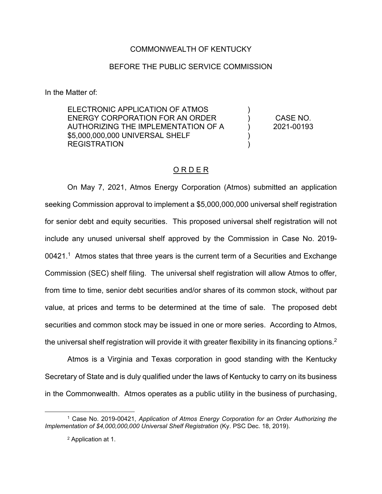## COMMONWEALTH OF KENTUCKY

## BEFORE THE PUBLIC SERVICE COMMISSION

In the Matter of:

ELECTRONIC APPLICATION OF ATMOS ENERGY CORPORATION FOR AN ORDER AUTHORIZING THE IMPLEMENTATION OF A \$5,000,000,000 UNIVERSAL SHELF **REGISTRATION** 

CASE NO. 2021-00193

)  $\lambda$  $\lambda$ ) )

## O R D E R

On May 7, 2021, Atmos Energy Corporation (Atmos) submitted an application seeking Commission approval to implement a \$5,000,000,000 universal shelf registration for senior debt and equity securities. This proposed universal shelf registration will not include any unused universal shelf approved by the Commission in Case No. 2019-  $00421<sup>1</sup>$  Atmos states that three years is the current term of a Securities and Exchange Commission (SEC) shelf filing. The universal shelf registration will allow Atmos to offer, from time to time, senior debt securities and/or shares of its common stock, without par value, at prices and terms to be determined at the time of sale. The proposed debt securities and common stock may be issued in one or more series. According to Atmos, the universal shelf registration will provide it with greater flexibility in its financing options.<sup>2</sup>

Atmos is a Virginia and Texas corporation in good standing with the Kentucky Secretary of State and is duly qualified under the laws of Kentucky to carry on its business in the Commonwealth. Atmos operates as a public utility in the business of purchasing,

<sup>1</sup> Case No. 2019-00421, *Application of Atmos Energy Corporation for an Order Authorizing the Implementation of \$4,000,000,000 Universal Shelf Registration* (Ky. PSC Dec. 18, 2019).

<sup>2</sup> Application at 1.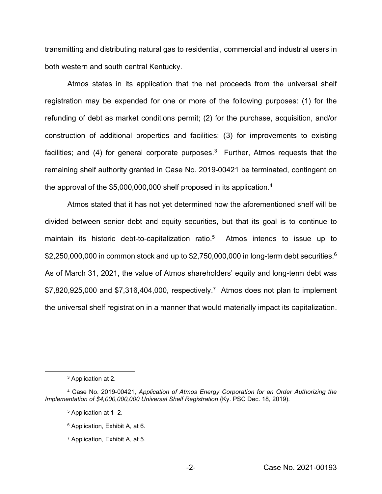transmitting and distributing natural gas to residential, commercial and industrial users in both western and south central Kentucky.

Atmos states in its application that the net proceeds from the universal shelf registration may be expended for one or more of the following purposes: (1) for the refunding of debt as market conditions permit; (2) for the purchase, acquisition, and/or construction of additional properties and facilities; (3) for improvements to existing facilities; and (4) for general corporate purposes.<sup>3</sup> Further, Atmos requests that the remaining shelf authority granted in Case No. 2019-00421 be terminated, contingent on the approval of the \$5,000,000,000 shelf proposed in its application.<sup>4</sup>

Atmos stated that it has not yet determined how the aforementioned shelf will be divided between senior debt and equity securities, but that its goal is to continue to maintain its historic debt-to-capitalization ratio.<sup>5</sup> Atmos intends to issue up to \$2,250,000,000 in common stock and up to \$2,750,000,000 in long-term debt securities.<sup>6</sup> As of March 31, 2021, the value of Atmos shareholders' equity and long-term debt was  $$7,820,925,000$  and  $$7,316,404,000$ , respectively.<sup>7</sup> Atmos does not plan to implement the universal shelf registration in a manner that would materially impact its capitalization.

<sup>3</sup> Application at 2.

<sup>4</sup> Case No. 2019-00421, *Application of Atmos Energy Corporation for an Order Authorizing the Implementation of \$4,000,000,000 Universal Shelf Registration* (Ky. PSC Dec. 18, 2019).

<sup>5</sup> Application at 1–2.

<sup>6</sup> Application, Exhibit A, at 6.

<sup>7</sup> Application, Exhibit A, at 5.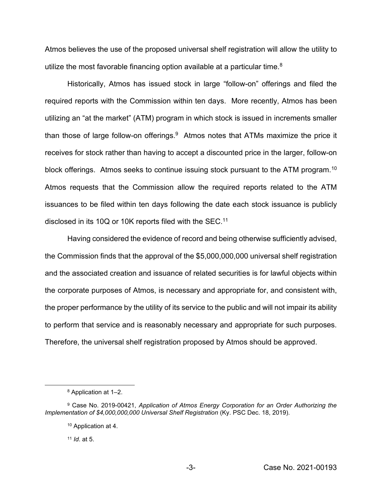Atmos believes the use of the proposed universal shelf registration will allow the utility to utilize the most favorable financing option available at a particular time.<sup>8</sup>

Historically, Atmos has issued stock in large "follow-on" offerings and filed the required reports with the Commission within ten days. More recently, Atmos has been utilizing an "at the market" (ATM) program in which stock is issued in increments smaller than those of large follow-on offerings. $9$  Atmos notes that ATMs maximize the price it receives for stock rather than having to accept a discounted price in the larger, follow-on block offerings. Atmos seeks to continue issuing stock pursuant to the ATM program.<sup>10</sup> Atmos requests that the Commission allow the required reports related to the ATM issuances to be filed within ten days following the date each stock issuance is publicly disclosed in its 10Q or 10K reports filed with the SEC.11

Having considered the evidence of record and being otherwise sufficiently advised, the Commission finds that the approval of the \$5,000,000,000 universal shelf registration and the associated creation and issuance of related securities is for lawful objects within the corporate purposes of Atmos, is necessary and appropriate for, and consistent with, the proper performance by the utility of its service to the public and will not impair its ability to perform that service and is reasonably necessary and appropriate for such purposes. Therefore, the universal shelf registration proposed by Atmos should be approved.

<sup>11</sup> *Id*. at 5.

<sup>8</sup> Application at 1–2.

<sup>9</sup> Case No. 2019-00421, *Application of Atmos Energy Corporation for an Order Authorizing the Implementation of \$4,000,000,000 Universal Shelf Registration* (Ky. PSC Dec. 18, 2019).

<sup>10</sup> Application at 4.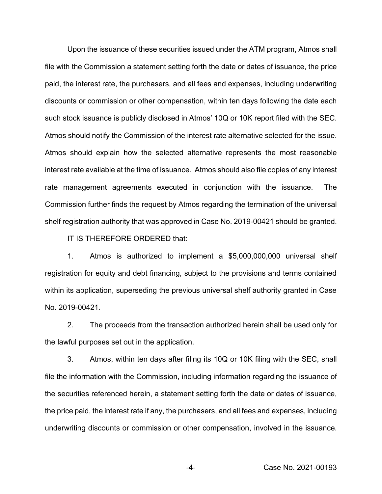Upon the issuance of these securities issued under the ATM program, Atmos shall file with the Commission a statement setting forth the date or dates of issuance, the price paid, the interest rate, the purchasers, and all fees and expenses, including underwriting discounts or commission or other compensation, within ten days following the date each such stock issuance is publicly disclosed in Atmos' 10Q or 10K report filed with the SEC. Atmos should notify the Commission of the interest rate alternative selected for the issue. Atmos should explain how the selected alternative represents the most reasonable interest rate available at the time of issuance. Atmos should also file copies of any interest rate management agreements executed in conjunction with the issuance. The Commission further finds the request by Atmos regarding the termination of the universal shelf registration authority that was approved in Case No. 2019-00421 should be granted.

IT IS THEREFORE ORDERED that:

1. Atmos is authorized to implement a \$5,000,000,000 universal shelf registration for equity and debt financing, subject to the provisions and terms contained within its application, superseding the previous universal shelf authority granted in Case No. 2019-00421.

2. The proceeds from the transaction authorized herein shall be used only for the lawful purposes set out in the application.

3. Atmos, within ten days after filing its 10Q or 10K filing with the SEC, shall file the information with the Commission, including information regarding the issuance of the securities referenced herein, a statement setting forth the date or dates of issuance, the price paid, the interest rate if any, the purchasers, and all fees and expenses, including underwriting discounts or commission or other compensation, involved in the issuance.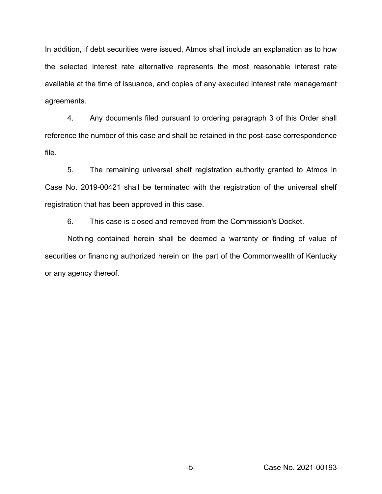In addition, if debt securities were issued, Atmos shall include an explanation as to how the selected interest rate alternative represents the most reasonable interest rate available at the time of issuance, and copies of any executed interest rate management agreements.

4. Any documents filed pursuant to ordering paragraph 3 of this Order shall reference the number of this case and shall be retained in the post-case correspondence file.

5. The remaining universal shelf registration authority granted to Atmos in Case No. 2019-00421 shall be terminated with the registration of the universal shelf registration that has been approved in this case.

6. This case is closed and removed from the Commission's Docket.

Nothing contained herein shall be deemed a warranty or finding of value of securities or financing authorized herein on the part of the Commonwealth of Kentucky or any agency thereof.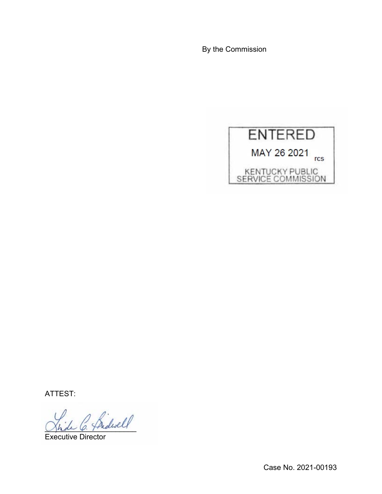By the Commission



ATTEST:

\_\_\_\_\_\_\_\_\_\_\_\_\_\_\_\_\_\_\_\_\_\_

Executive Director

Case No. 2021-00193